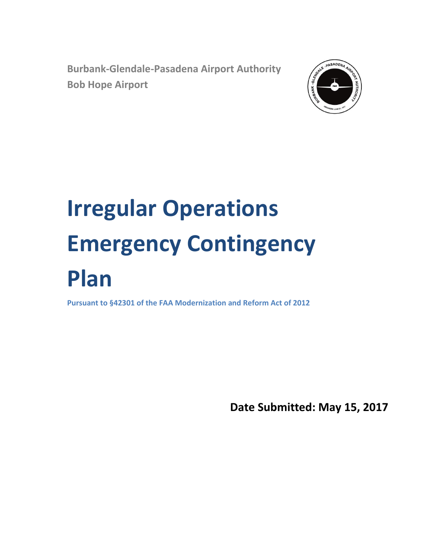**Burbank-Glendale-Pasadena Airport Authority Bob Hope Airport**



# **Irregular Operations Emergency Contingency Plan**

**Pursuant to §42301 of the FAA Modernization and Reform Act of 2012**

**Date Submitted: May 15, 2017**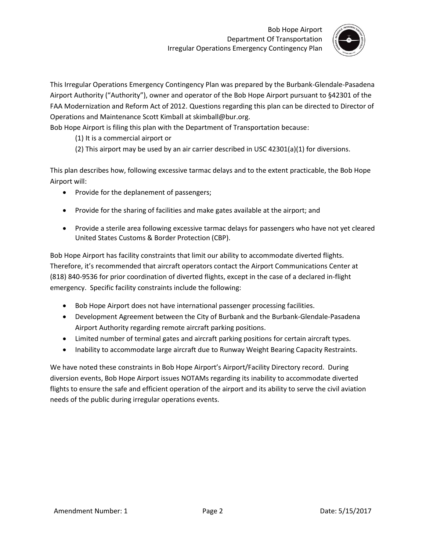

This Irregular Operations Emergency Contingency Plan was prepared by the Burbank-Glendale-Pasadena Airport Authority ("Authority"), owner and operator of the Bob Hope Airport pursuant to §42301 of the FAA Modernization and Reform Act of 2012. Questions regarding this plan can be directed to Director of Operations and Maintenance Scott Kimball at skimball@bur.org.

Bob Hope Airport is filing this plan with the Department of Transportation because:

#### (1) It is a commercial airport or

(2) This airport may be used by an air carrier described in USC 42301(a)(1) for diversions.

This plan describes how, following excessive tarmac delays and to the extent practicable, the Bob Hope Airport will:

- Provide for the deplanement of passengers;
- Provide for the sharing of facilities and make gates available at the airport; and
- Provide a sterile area following excessive tarmac delays for passengers who have not yet cleared United States Customs & Border Protection (CBP).

Bob Hope Airport has facility constraints that limit our ability to accommodate diverted flights. Therefore, it's recommended that aircraft operators contact the Airport Communications Center at (818) 840-9536 for prior coordination of diverted flights, except in the case of a declared in-flight emergency. Specific facility constraints include the following:

- Bob Hope Airport does not have international passenger processing facilities.
- Development Agreement between the City of Burbank and the Burbank-Glendale-Pasadena Airport Authority regarding remote aircraft parking positions.
- Limited number of terminal gates and aircraft parking positions for certain aircraft types.
- Inability to accommodate large aircraft due to Runway Weight Bearing Capacity Restraints.

We have noted these constraints in Bob Hope Airport's Airport/Facility Directory record. During diversion events, Bob Hope Airport issues NOTAMs regarding its inability to accommodate diverted flights to ensure the safe and efficient operation of the airport and its ability to serve the civil aviation needs of the public during irregular operations events.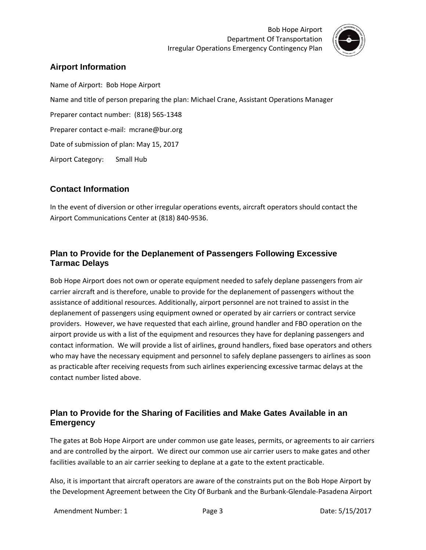

### **Airport Information**

Name of Airport: Bob Hope Airport Name and title of person preparing the plan: Michael Crane, Assistant Operations Manager Preparer contact number: (818) 565-1348 Preparer contact e-mail: mcrane@bur.org Date of submission of plan: May 15, 2017 Airport Category: Small Hub

#### **Contact Information**

In the event of diversion or other irregular operations events, aircraft operators should contact the Airport Communications Center at (818) 840-9536.

### **Plan to Provide for the Deplanement of Passengers Following Excessive Tarmac Delays**

Bob Hope Airport does not own or operate equipment needed to safely deplane passengers from air carrier aircraft and is therefore, unable to provide for the deplanement of passengers without the assistance of additional resources. Additionally, airport personnel are not trained to assist in the deplanement of passengers using equipment owned or operated by air carriers or contract service providers. However, we have requested that each airline, ground handler and FBO operation on the airport provide us with a list of the equipment and resources they have for deplaning passengers and contact information. We will provide a list of airlines, ground handlers, fixed base operators and others who may have the necessary equipment and personnel to safely deplane passengers to airlines as soon as practicable after receiving requests from such airlines experiencing excessive tarmac delays at the contact number listed above.

#### **Plan to Provide for the Sharing of Facilities and Make Gates Available in an Emergency**

The gates at Bob Hope Airport are under common use gate leases, permits, or agreements to air carriers and are controlled by the airport. We direct our common use air carrier users to make gates and other facilities available to an air carrier seeking to deplane at a gate to the extent practicable.

Also, it is important that aircraft operators are aware of the constraints put on the Bob Hope Airport by the Development Agreement between the City Of Burbank and the Burbank-Glendale-Pasadena Airport